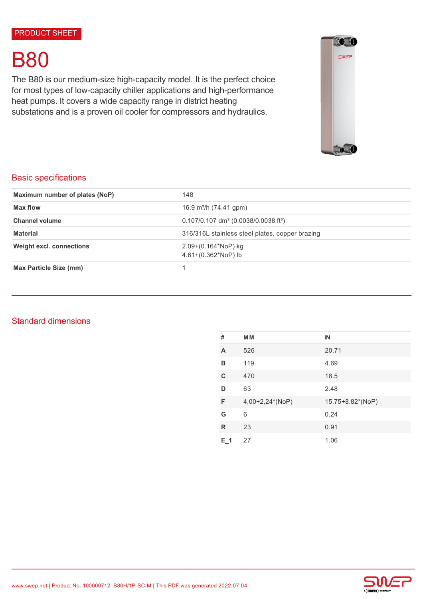# B80

The B80 is our medium-size high-capacity model. It is the perfect choice for most types of low-capacity chiller applications and high-performance heat pumps. It covers a wide capacity range in district heating substations and is a proven oil cooler for compressors and hydraulics.



# Basic specifications

| Maximum number of plates (NoP)  | 148                                                            |  |
|---------------------------------|----------------------------------------------------------------|--|
| Max flow                        | 16.9 m <sup>3</sup> /h (74.41 gpm)                             |  |
| <b>Channel volume</b>           | $0.107/0.107$ dm <sup>3</sup> (0.0038/0.0038 ft <sup>3</sup> ) |  |
| <b>Material</b>                 | 316/316L stainless steel plates, copper brazing                |  |
| <b>Weight excl. connections</b> | 2.09+(0.164*NoP) kg<br>$4.61+(0.362*NoP)$ lb                   |  |
| Max Particle Size (mm)          |                                                                |  |

# Standard dimensions

| #           | <b>MM</b>       | $\mathbb{N}$     |
|-------------|-----------------|------------------|
| A           | 526             | 20.71            |
| в           | 119             | 4.69             |
| $\mathbf C$ | 470             | 18.5             |
| D           | 63              | 2.48             |
| F           | 4,00+2,24*(NoP) | 15.75+8.82*(NoP) |
| G           | 6               | 0.24             |
| R           | 23              | 0.91             |
| $E_1$ 1     | 27              | 1.06             |